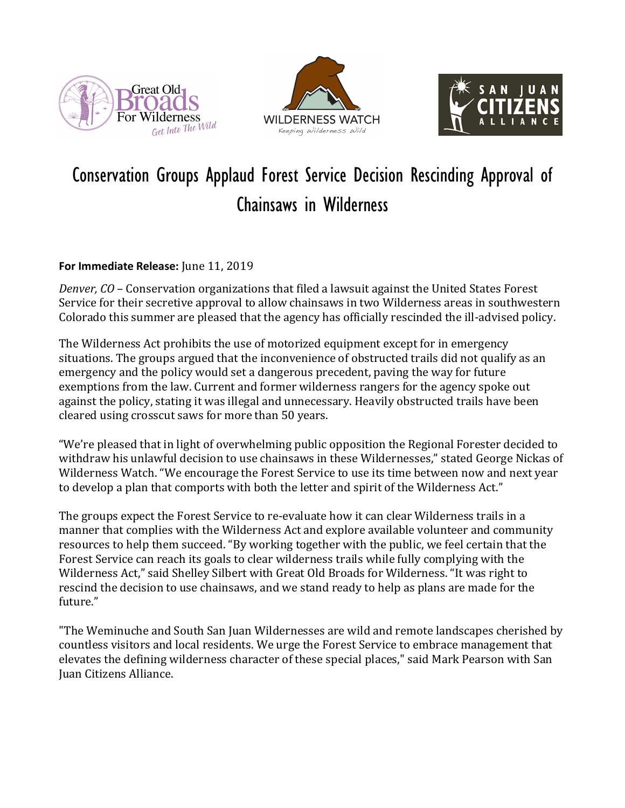





## Conservation Groups Applaud Forest Service Decision Rescinding Approval of Chainsaws in Wilderness

## **For Immediate Release:** June 11, 2019

*Denver, CO* – Conservation organizations that filed a lawsuit against the United States Forest Service for their secretive approval to allow chainsaws in two Wilderness areas in southwestern Colorado this summer are pleased that the agency has officially rescinded the ill-advised policy.

The Wilderness Act prohibits the use of motorized equipment except for in emergency situations. The groups argued that the inconvenience of obstructed trails did not qualify as an emergency and the policy would set a dangerous precedent, paving the way for future exemptions from the law. Current and former wilderness rangers for the agency spoke out against the policy, stating it was illegal and unnecessary. Heavily obstructed trails have been cleared using crosscut saws for more than 50 years.

"We're pleased that in light of overwhelming public opposition the Regional Forester decided to withdraw his unlawful decision to use chainsaws in these Wildernesses," stated George Nickas of Wilderness Watch. "We encourage the Forest Service to use its time between now and next year to develop a plan that comports with both the letter and spirit of the Wilderness Act."

The groups expect the Forest Service to re-evaluate how it can clear Wilderness trails in a manner that complies with the Wilderness Act and explore available volunteer and community resources to help them succeed. "By working together with the public, we feel certain that the Forest Service can reach its goals to clear wilderness trails while fully complying with the Wilderness Act," said Shelley Silbert with Great Old Broads for Wilderness. "It was right to rescind the decision to use chainsaws, and we stand ready to help as plans are made for the future."

"The Weminuche and South San Juan Wildernesses are wild and remote landscapes cherished by countless visitors and local residents. We urge the Forest Service to embrace management that elevates the defining wilderness character of these special places," said Mark Pearson with San Juan Citizens Alliance.